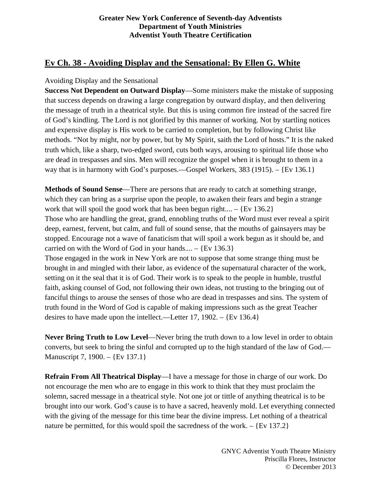### **Greater New York Conference of Seventh-day Adventists Department of Youth Ministries Adventist Youth Theatre Certification**

# **Ev Ch. 38 - Avoiding Display and the Sensational: By Ellen G. White**

## Avoiding Display and the Sensational

**Success Not Dependent on Outward Display**—Some ministers make the mistake of supposing that success depends on drawing a large congregation by outward display, and then delivering the message of truth in a theatrical style. But this is using common fire instead of the sacred fire of God's kindling. The Lord is not glorified by this manner of working. Not by startling notices and expensive display is His work to be carried to completion, but by following Christ like methods. "Not by might, nor by power, but by My Spirit, saith the Lord of hosts." It is the naked truth which, like a sharp, two-edged sword, cuts both ways, arousing to spiritual life those who are dead in trespasses and sins. Men will recognize the gospel when it is brought to them in a way that is in harmony with God's purposes.—Gospel Workers, 383 (1915). – {Ev 136.1}

**Methods of Sound Sense**—There are persons that are ready to catch at something strange, which they can bring as a surprise upon the people, to awaken their fears and begin a strange work that will spoil the good work that has been begun right....  $-$  {Ev 136.2} Those who are handling the great, grand, ennobling truths of the Word must ever reveal a spirit deep, earnest, fervent, but calm, and full of sound sense, that the mouths of gainsayers may be stopped. Encourage not a wave of fanaticism that will spoil a work begun as it should be, and carried on with the Word of God in your hands.... –  ${Ev 136.3}$ Those engaged in the work in New York are not to suppose that some strange thing must be brought in and mingled with their labor, as evidence of the supernatural character of the work, setting on it the seal that it is of God. Their work is to speak to the people in humble, trustful faith, asking counsel of God, not following their own ideas, not trusting to the bringing out of fanciful things to arouse the senses of those who are dead in trespasses and sins. The system of truth found in the Word of God is capable of making impressions such as the great Teacher desires to have made upon the intellect.—Letter 17, 1902. – {Ev 136.4}

**Never Bring Truth to Low Level**—Never bring the truth down to a low level in order to obtain converts, but seek to bring the sinful and corrupted up to the high standard of the law of God.— Manuscript 7, 1900. – {Ev 137.1}

**Refrain From All Theatrical Display**—I have a message for those in charge of our work. Do not encourage the men who are to engage in this work to think that they must proclaim the solemn, sacred message in a theatrical style. Not one jot or tittle of anything theatrical is to be brought into our work. God's cause is to have a sacred, heavenly mold. Let everything connected with the giving of the message for this time bear the divine impress. Let nothing of a theatrical nature be permitted, for this would spoil the sacredness of the work.  $-$  {Ev 137.2}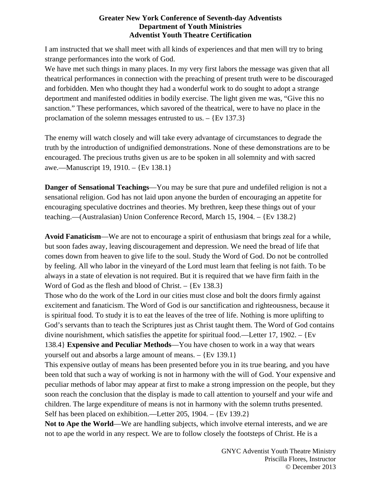### **Greater New York Conference of Seventh-day Adventists Department of Youth Ministries Adventist Youth Theatre Certification**

I am instructed that we shall meet with all kinds of experiences and that men will try to bring strange performances into the work of God.

We have met such things in many places. In my very first labors the message was given that all theatrical performances in connection with the preaching of present truth were to be discouraged and forbidden. Men who thought they had a wonderful work to do sought to adopt a strange deportment and manifested oddities in bodily exercise. The light given me was, "Give this no sanction." These performances, which savored of the theatrical, were to have no place in the proclamation of the solemn messages entrusted to us. – {Ev 137.3}

The enemy will watch closely and will take every advantage of circumstances to degrade the truth by the introduction of undignified demonstrations. None of these demonstrations are to be encouraged. The precious truths given us are to be spoken in all solemnity and with sacred awe.—Manuscript 19, 1910. – {Ev 138.1}

**Danger of Sensational Teachings**—You may be sure that pure and undefiled religion is not a sensational religion. God has not laid upon anyone the burden of encouraging an appetite for encouraging speculative doctrines and theories. My brethren, keep these things out of your teaching.—(Australasian) Union Conference Record, March 15, 1904. – {Ev 138.2}

**Avoid Fanaticism**—We are not to encourage a spirit of enthusiasm that brings zeal for a while, but soon fades away, leaving discouragement and depression. We need the bread of life that comes down from heaven to give life to the soul. Study the Word of God. Do not be controlled by feeling. All who labor in the vineyard of the Lord must learn that feeling is not faith. To be always in a state of elevation is not required. But it is required that we have firm faith in the Word of God as the flesh and blood of Christ.  $-$  {Ev 138.3}

Those who do the work of the Lord in our cities must close and bolt the doors firmly against excitement and fanaticism. The Word of God is our sanctification and righteousness, because it is spiritual food. To study it is to eat the leaves of the tree of life. Nothing is more uplifting to God's servants than to teach the Scriptures just as Christ taught them. The Word of God contains divine nourishment, which satisfies the appetite for spiritual food.—Letter 17, 1902. – {Ev 138.4} **Expensive and Peculiar Methods**—You have chosen to work in a way that wears yourself out and absorbs a large amount of means. – {Ev 139.1}

This expensive outlay of means has been presented before you in its true bearing, and you have been told that such a way of working is not in harmony with the will of God. Your expensive and peculiar methods of labor may appear at first to make a strong impression on the people, but they soon reach the conclusion that the display is made to call attention to yourself and your wife and children. The large expenditure of means is not in harmony with the solemn truths presented. Self has been placed on exhibition.—Letter 205, 1904. – {Ev 139.2}

Not to Ape the World—We are handling subjects, which involve eternal interests, and we are not to ape the world in any respect. We are to follow closely the footsteps of Christ. He is a